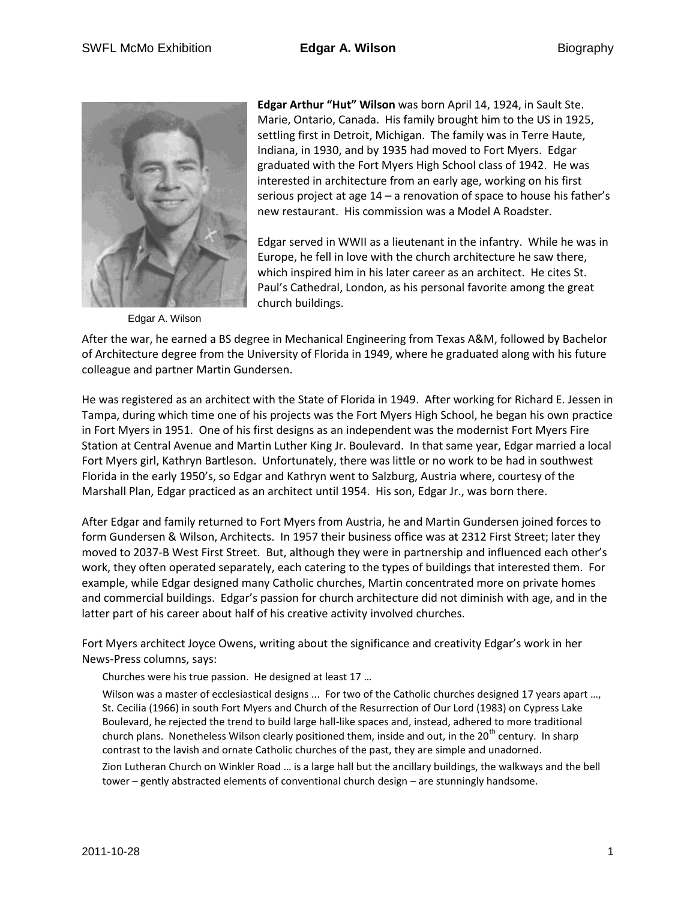

Edgar A. Wilson

**Edgar Arthur "Hut" Wilson** was born April 14, 1924, in Sault Ste. Marie, Ontario, Canada. His family brought him to the US in 1925, settling first in Detroit, Michigan. The family was in Terre Haute, Indiana, in 1930, and by 1935 had moved to Fort Myers. Edgar graduated with the Fort Myers High School class of 1942. He was interested in architecture from an early age, working on his first serious project at age 14 – a renovation of space to house his father's new restaurant. His commission was a Model A Roadster.

Edgar served in WWII as a lieutenant in the infantry. While he was in Europe, he fell in love with the church architecture he saw there, which inspired him in his later career as an architect. He cites St. Paul's Cathedral, London, as his personal favorite among the great church buildings.

After the war, he earned a BS degree in Mechanical Engineering from Texas A&M, followed by Bachelor of Architecture degree from the University of Florida in 1949, where he graduated along with his future colleague and partner Martin Gundersen.

He was registered as an architect with the State of Florida in 1949. After working for Richard E. Jessen in Tampa, during which time one of his projects was the Fort Myers High School, he began his own practice in Fort Myers in 1951. One of his first designs as an independent was the modernist Fort Myers Fire Station at Central Avenue and Martin Luther King Jr. Boulevard. In that same year, Edgar married a local Fort Myers girl, Kathryn Bartleson. Unfortunately, there was little or no work to be had in southwest Florida in the early 1950's, so Edgar and Kathryn went to Salzburg, Austria where, courtesy of the Marshall Plan, Edgar practiced as an architect until 1954. His son, Edgar Jr., was born there.

After Edgar and family returned to Fort Myers from Austria, he and Martin Gundersen joined forces to form Gundersen & Wilson, Architects. In 1957 their business office was at 2312 First Street; later they moved to 2037-B West First Street. But, although they were in partnership and influenced each other's work, they often operated separately, each catering to the types of buildings that interested them. For example, while Edgar designed many Catholic churches, Martin concentrated more on private homes and commercial buildings. Edgar's passion for church architecture did not diminish with age, and in the latter part of his career about half of his creative activity involved churches.

Fort Myers architect Joyce Owens, writing about the significance and creativity Edgar's work in her News-Press columns, says:

Churches were his true passion. He designed at least 17 …

Wilson was a master of ecclesiastical designs ... For two of the Catholic churches designed 17 years apart ..., St. Cecilia (1966) in south Fort Myers and Church of the Resurrection of Our Lord (1983) on Cypress Lake Boulevard, he rejected the trend to build large hall-like spaces and, instead, adhered to more traditional church plans. Nonetheless Wilson clearly positioned them, inside and out, in the 20<sup>th</sup> century. In sharp contrast to the lavish and ornate Catholic churches of the past, they are simple and unadorned.

Zion Lutheran Church on Winkler Road … is a large hall but the ancillary buildings, the walkways and the bell tower – gently abstracted elements of conventional church design – are stunningly handsome.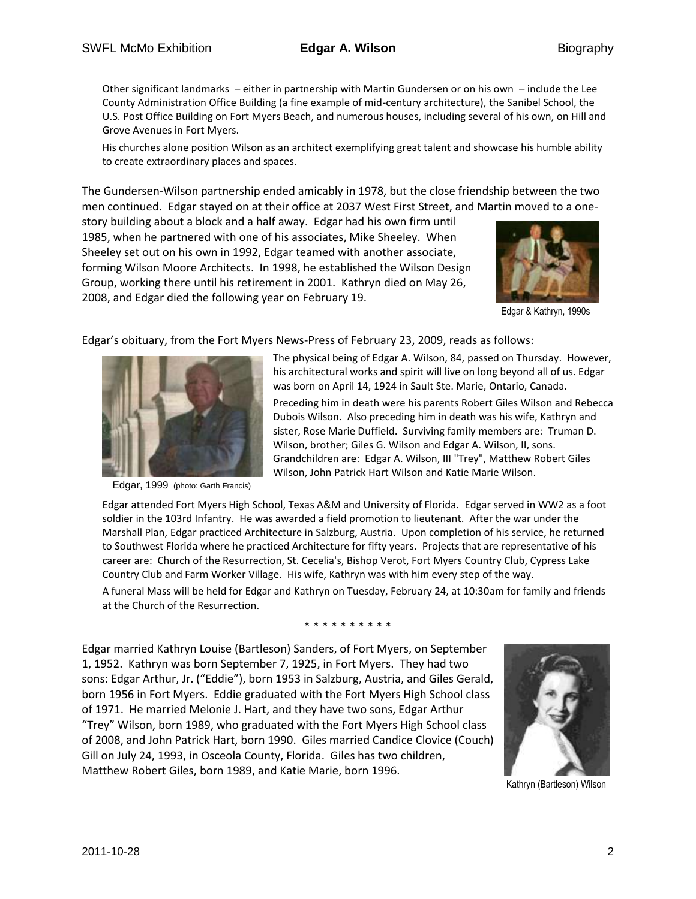Other significant landmarks – either in partnership with Martin Gundersen or on his own – include the Lee County Administration Office Building (a fine example of mid-century architecture), the Sanibel School, the U.S. Post Office Building on Fort Myers Beach, and numerous houses, including several of his own, on Hill and Grove Avenues in Fort Myers.

His churches alone position Wilson as an architect exemplifying great talent and showcase his humble ability to create extraordinary places and spaces.

The Gundersen-Wilson partnership ended amicably in 1978, but the close friendship between the two men continued. Edgar stayed on at their office at 2037 West First Street, and Martin moved to a one-

story building about a block and a half away. Edgar had his own firm until 1985, when he partnered with one of his associates, Mike Sheeley. When Sheeley set out on his own in 1992, Edgar teamed with another associate, forming Wilson Moore Architects. In 1998, he established the Wilson Design Group, working there until his retirement in 2001. Kathryn died on May 26, 2008, and Edgar died the following year on February 19.



Edgar & Kathryn, 1990s

Edgar's obituary, from the Fort Myers News-Press of February 23, 2009, reads as follows:



Edgar, 1999 (photo: Garth Francis)

The physical being of Edgar A. Wilson, 84, passed on Thursday. However, his architectural works and spirit will live on long beyond all of us. Edgar was born on April 14, 1924 in Sault Ste. Marie, Ontario, Canada.

Preceding him in death were his parents Robert Giles Wilson and Rebecca Dubois Wilson. Also preceding him in death was his wife, Kathryn and sister, Rose Marie Duffield. Surviving family members are: Truman D. Wilson, brother; Giles G. Wilson and Edgar A. Wilson, II, sons. Grandchildren are: Edgar A. Wilson, III "Trey", Matthew Robert Giles Wilson, John Patrick Hart Wilson and Katie Marie Wilson.

Edgar attended Fort Myers High School, Texas A&M and University of Florida. Edgar served in WW2 as a foot soldier in the 103rd Infantry. He was awarded a field promotion to lieutenant. After the war under the Marshall Plan, Edgar practiced Architecture in Salzburg, Austria. Upon completion of his service, he returned to Southwest Florida where he practiced Architecture for fifty years. Projects that are representative of his career are: Church of the Resurrection, St. Cecelia's, Bishop Verot, Fort Myers Country Club, Cypress Lake Country Club and Farm Worker Village. His wife, Kathryn was with him every step of the way.

A funeral Mass will be held for Edgar and Kathryn on Tuesday, February 24, at 10:30am for family and friends at the Church of the Resurrection.

\* \* \* \* \* \* \* \* \* \*

Edgar married Kathryn Louise (Bartleson) Sanders, of Fort Myers, on September 1, 1952. Kathryn was born September 7, 1925, in Fort Myers. They had two sons: Edgar Arthur, Jr. ("Eddie"), born 1953 in Salzburg, Austria, and Giles Gerald, born 1956 in Fort Myers. Eddie graduated with the Fort Myers High School class of 1971. He married Melonie J. Hart, and they have two sons, Edgar Arthur "Trey" Wilson, born 1989, who graduated with the Fort Myers High School class of 2008, and John Patrick Hart, born 1990. Giles married Candice Clovice (Couch) Gill on July 24, 1993, in Osceola County, Florida. Giles has two children, Matthew Robert Giles, born 1989, and Katie Marie, born 1996.



Kathryn (Bartleson) Wilson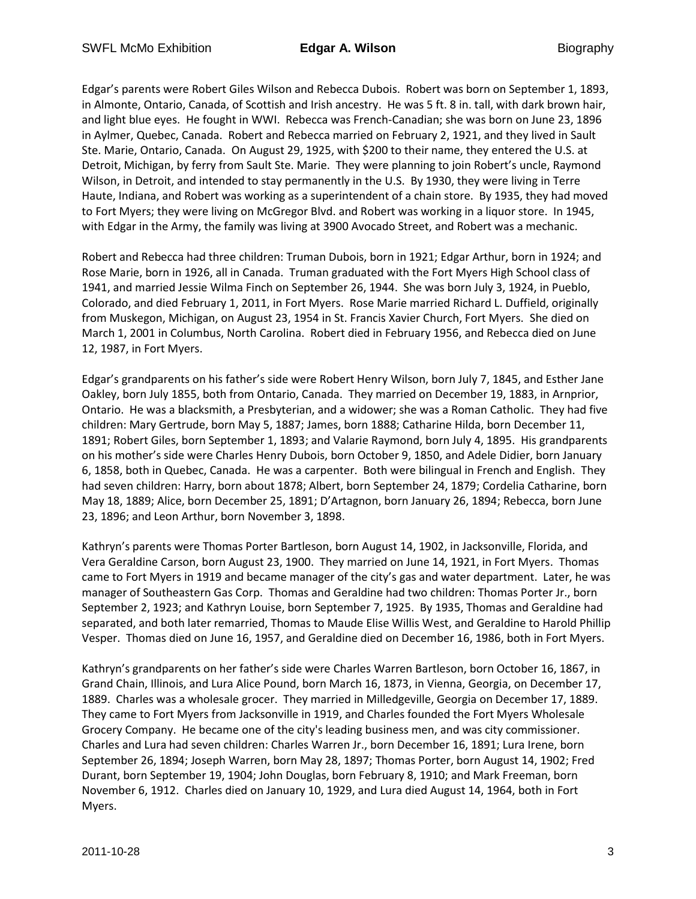Edgar's parents were Robert Giles Wilson and Rebecca Dubois. Robert was born on September 1, 1893, in Almonte, Ontario, Canada, of Scottish and Irish ancestry. He was 5 ft. 8 in. tall, with dark brown hair, and light blue eyes. He fought in WWI. Rebecca was French-Canadian; she was born on June 23, 1896 in Aylmer, Quebec, Canada. Robert and Rebecca married on February 2, 1921, and they lived in Sault Ste. Marie, Ontario, Canada. On August 29, 1925, with \$200 to their name, they entered the U.S. at Detroit, Michigan, by ferry from Sault Ste. Marie. They were planning to join Robert's uncle, Raymond Wilson, in Detroit, and intended to stay permanently in the U.S. By 1930, they were living in Terre Haute, Indiana, and Robert was working as a superintendent of a chain store. By 1935, they had moved to Fort Myers; they were living on McGregor Blvd. and Robert was working in a liquor store. In 1945, with Edgar in the Army, the family was living at 3900 Avocado Street, and Robert was a mechanic.

Robert and Rebecca had three children: Truman Dubois, born in 1921; Edgar Arthur, born in 1924; and Rose Marie, born in 1926, all in Canada. Truman graduated with the Fort Myers High School class of 1941, and married Jessie Wilma Finch on September 26, 1944. She was born July 3, 1924, in Pueblo, Colorado, and died February 1, 2011, in Fort Myers. Rose Marie married Richard L. Duffield, originally from Muskegon, Michigan, on August 23, 1954 in St. Francis Xavier Church, Fort Myers. She died on March 1, 2001 in Columbus, North Carolina. Robert died in February 1956, and Rebecca died on June 12, 1987, in Fort Myers.

Edgar's grandparents on his father's side were Robert Henry Wilson, born July 7, 1845, and Esther Jane Oakley, born July 1855, both from Ontario, Canada. They married on December 19, 1883, in Arnprior, Ontario. He was a blacksmith, a Presbyterian, and a widower; she was a Roman Catholic. They had five children: Mary Gertrude, born May 5, 1887; James, born 1888; Catharine Hilda, born December 11, 1891; Robert Giles, born September 1, 1893; and Valarie Raymond, born July 4, 1895. His grandparents on his mother's side were Charles Henry Dubois, born October 9, 1850, and Adele Didier, born January 6, 1858, both in Quebec, Canada. He was a carpenter. Both were bilingual in French and English. They had seven children: Harry, born about 1878; Albert, born September 24, 1879; Cordelia Catharine, born May 18, 1889; Alice, born December 25, 1891; D'Artagnon, born January 26, 1894; Rebecca, born June 23, 1896; and Leon Arthur, born November 3, 1898.

Kathryn's parents were Thomas Porter Bartleson, born August 14, 1902, in Jacksonville, Florida, and Vera Geraldine Carson, born August 23, 1900. They married on June 14, 1921, in Fort Myers. Thomas came to Fort Myers in 1919 and became manager of the city's gas and water department. Later, he was manager of Southeastern Gas Corp. Thomas and Geraldine had two children: Thomas Porter Jr., born September 2, 1923; and Kathryn Louise, born September 7, 1925. By 1935, Thomas and Geraldine had separated, and both later remarried, Thomas to Maude Elise Willis West, and Geraldine to Harold Phillip Vesper. Thomas died on June 16, 1957, and Geraldine died on December 16, 1986, both in Fort Myers.

Kathryn's grandparents on her father's side were Charles Warren Bartleson, born October 16, 1867, in Grand Chain, Illinois, and Lura Alice Pound, born March 16, 1873, in Vienna, Georgia, on December 17, 1889. Charles was a wholesale grocer. They married in Milledgeville, Georgia on December 17, 1889. They came to Fort Myers from Jacksonville in 1919, and Charles founded the Fort Myers Wholesale Grocery Company. He became one of the city's leading business men, and was city commissioner. Charles and Lura had seven children: Charles Warren Jr., born December 16, 1891; Lura Irene, born September 26, 1894; Joseph Warren, born May 28, 1897; Thomas Porter, born August 14, 1902; Fred Durant, born September 19, 1904; John Douglas, born February 8, 1910; and Mark Freeman, born November 6, 1912. Charles died on January 10, 1929, and Lura died August 14, 1964, both in Fort Myers.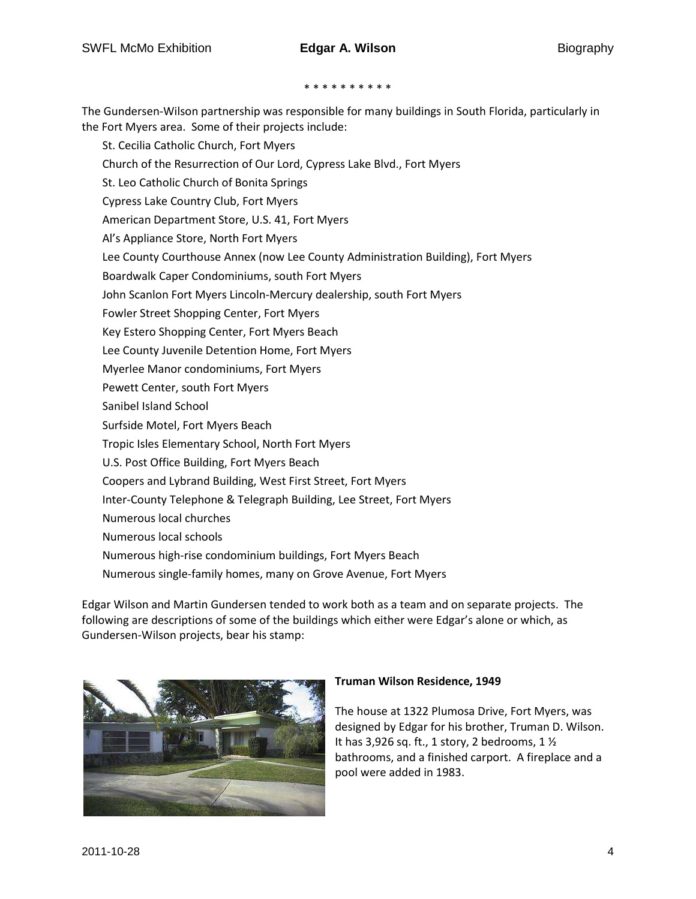#### \* \* \* \* \* \* \* \* \*

The Gundersen-Wilson partnership was responsible for many buildings in South Florida, particularly in the Fort Myers area. Some of their projects include:

St. Cecilia Catholic Church, Fort Myers Church of the Resurrection of Our Lord, Cypress Lake Blvd., Fort Myers St. Leo Catholic Church of Bonita Springs Cypress Lake Country Club, Fort Myers American Department Store, U.S. 41, Fort Myers Al's Appliance Store, North Fort Myers Lee County Courthouse Annex (now Lee County Administration Building), Fort Myers Boardwalk Caper Condominiums, south Fort Myers John Scanlon Fort Myers Lincoln-Mercury dealership, south Fort Myers Fowler Street Shopping Center, Fort Myers Key Estero Shopping Center, Fort Myers Beach Lee County Juvenile Detention Home, Fort Myers Myerlee Manor condominiums, Fort Myers Pewett Center, south Fort Myers Sanibel Island School Surfside Motel, Fort Myers Beach Tropic Isles Elementary School, North Fort Myers U.S. Post Office Building, Fort Myers Beach Coopers and Lybrand Building, West First Street, Fort Myers Inter-County Telephone & Telegraph Building, Lee Street, Fort Myers Numerous local churches Numerous local schools Numerous high-rise condominium buildings, Fort Myers Beach Numerous single-family homes, many on Grove Avenue, Fort Myers

Edgar Wilson and Martin Gundersen tended to work both as a team and on separate projects. The following are descriptions of some of the buildings which either were Edgar's alone or which, as Gundersen-Wilson projects, bear his stamp:



#### **Truman Wilson Residence, 1949**

The house at 1322 Plumosa Drive, Fort Myers, was designed by Edgar for his brother, Truman D. Wilson. It has 3,926 sq. ft., 1 story, 2 bedrooms, 1 ½ bathrooms, and a finished carport. A fireplace and a pool were added in 1983.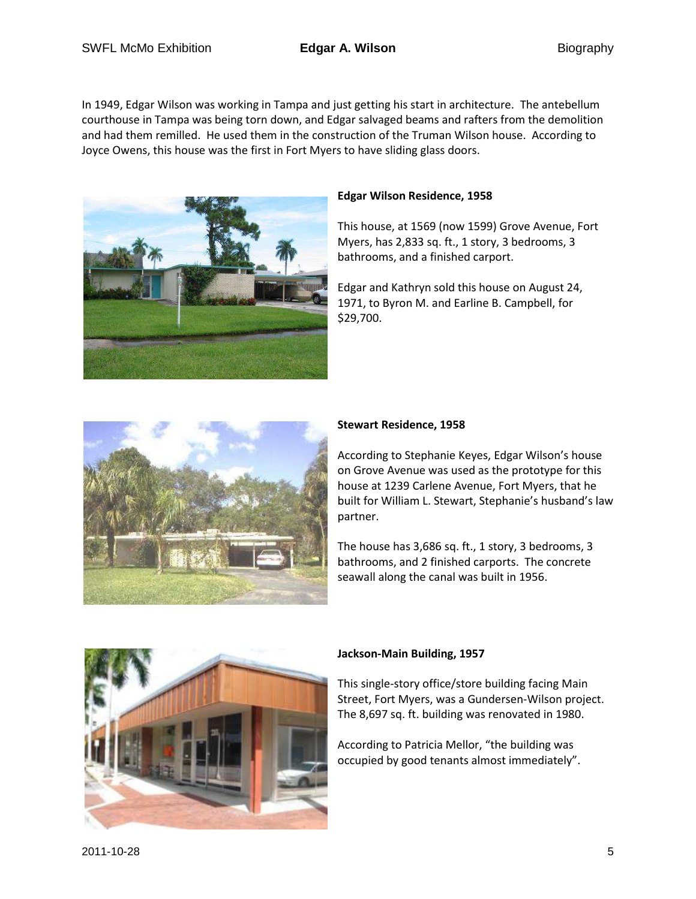In 1949, Edgar Wilson was working in Tampa and just getting his start in architecture. The antebellum courthouse in Tampa was being torn down, and Edgar salvaged beams and rafters from the demolition and had them remilled. He used them in the construction of the Truman Wilson house. According to Joyce Owens, this house was the first in Fort Myers to have sliding glass doors.



# **Edgar Wilson Residence, 1958**

This house, at 1569 (now 1599) Grove Avenue, Fort Myers, has 2,833 sq. ft., 1 story, 3 bedrooms, 3 bathrooms, and a finished carport.

Edgar and Kathryn sold this house on August 24, 1971, to Byron M. and Earline B. Campbell, for \$29,700.



## **Stewart Residence, 1958**

According to Stephanie Keyes, Edgar Wilson's house on Grove Avenue was used as the prototype for this house at 1239 Carlene Avenue, Fort Myers, that he built for William L. Stewart, Stephanie's husband's law partner.

The house has 3,686 sq. ft., 1 story, 3 bedrooms, 3 bathrooms, and 2 finished carports. The concrete seawall along the canal was built in 1956.



## **Jackson-Main Building, 1957**

This single-story office/store building facing Main Street, Fort Myers, was a Gundersen-Wilson project. The 8,697 sq. ft. building was renovated in 1980.

According to Patricia Mellor, "the building was occupied by good tenants almost immediately".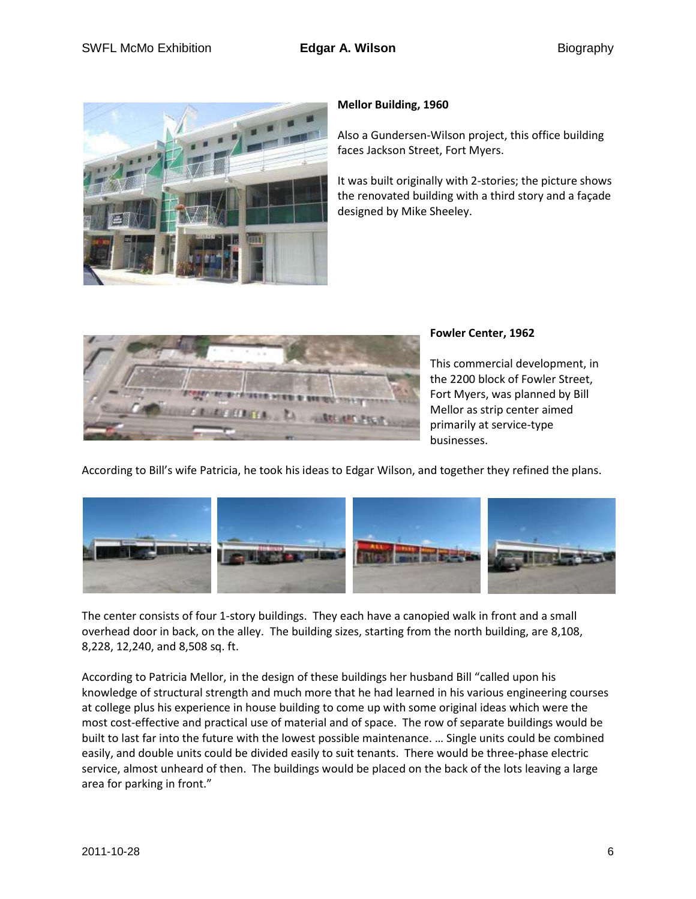

## **Mellor Building, 1960**

Also a Gundersen-Wilson project, this office building faces Jackson Street, Fort Myers.

It was built originally with 2-stories; the picture shows the renovated building with a third story and a façade designed by Mike Sheeley.



# **Fowler Center, 1962**

This commercial development, in the 2200 block of Fowler Street, Fort Myers, was planned by Bill Mellor as strip center aimed primarily at service-type businesses.

According to Bill's wife Patricia, he took his ideas to Edgar Wilson, and together they refined the plans.



The center consists of four 1-story buildings. They each have a canopied walk in front and a small overhead door in back, on the alley. The building sizes, starting from the north building, are 8,108, 8,228, 12,240, and 8,508 sq. ft.

According to Patricia Mellor, in the design of these buildings her husband Bill "called upon his knowledge of structural strength and much more that he had learned in his various engineering courses at college plus his experience in house building to come up with some original ideas which were the most cost-effective and practical use of material and of space. The row of separate buildings would be built to last far into the future with the lowest possible maintenance. … Single units could be combined easily, and double units could be divided easily to suit tenants. There would be three-phase electric service, almost unheard of then. The buildings would be placed on the back of the lots leaving a large area for parking in front."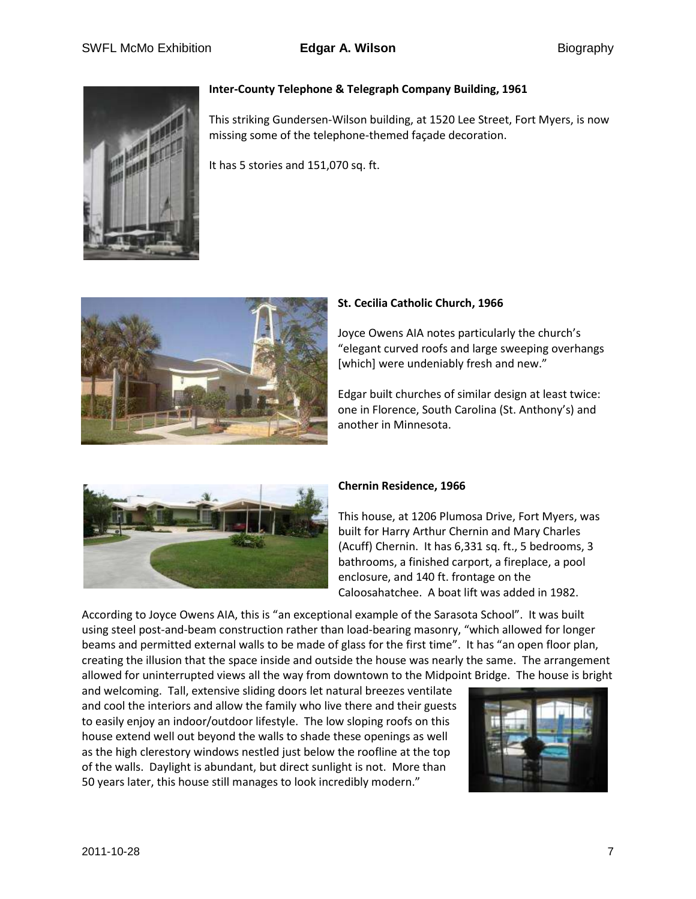

### **Inter-County Telephone & Telegraph Company Building, 1961**

This striking Gundersen-Wilson building, at 1520 Lee Street, Fort Myers, is now missing some of the telephone-themed façade decoration.

It has 5 stories and 151,070 sq. ft.



### **St. Cecilia Catholic Church, 1966**

Joyce Owens AIA notes particularly the church's "elegant curved roofs and large sweeping overhangs [which] were undeniably fresh and new."

Edgar built churches of similar design at least twice: one in Florence, South Carolina (St. Anthony's) and another in Minnesota.



#### **Chernin Residence, 1966**

This house, at 1206 Plumosa Drive, Fort Myers, was built for Harry Arthur Chernin and Mary Charles (Acuff) Chernin. It has 6,331 sq. ft., 5 bedrooms, 3 bathrooms, a finished carport, a fireplace, a pool enclosure, and 140 ft. frontage on the Caloosahatchee. A boat lift was added in 1982.

According to Joyce Owens AIA, this is "an exceptional example of the Sarasota School". It was built using steel post-and-beam construction rather than load-bearing masonry, "which allowed for longer beams and permitted external walls to be made of glass for the first time". It has "an open floor plan, creating the illusion that the space inside and outside the house was nearly the same. The arrangement allowed for uninterrupted views all the way from downtown to the Midpoint Bridge. The house is bright

and welcoming. Tall, extensive sliding doors let natural breezes ventilate and cool the interiors and allow the family who live there and their guests to easily enjoy an indoor/outdoor lifestyle. The low sloping roofs on this house extend well out beyond the walls to shade these openings as well as the high clerestory windows nestled just below the roofline at the top of the walls. Daylight is abundant, but direct sunlight is not. More than 50 years later, this house still manages to look incredibly modern."

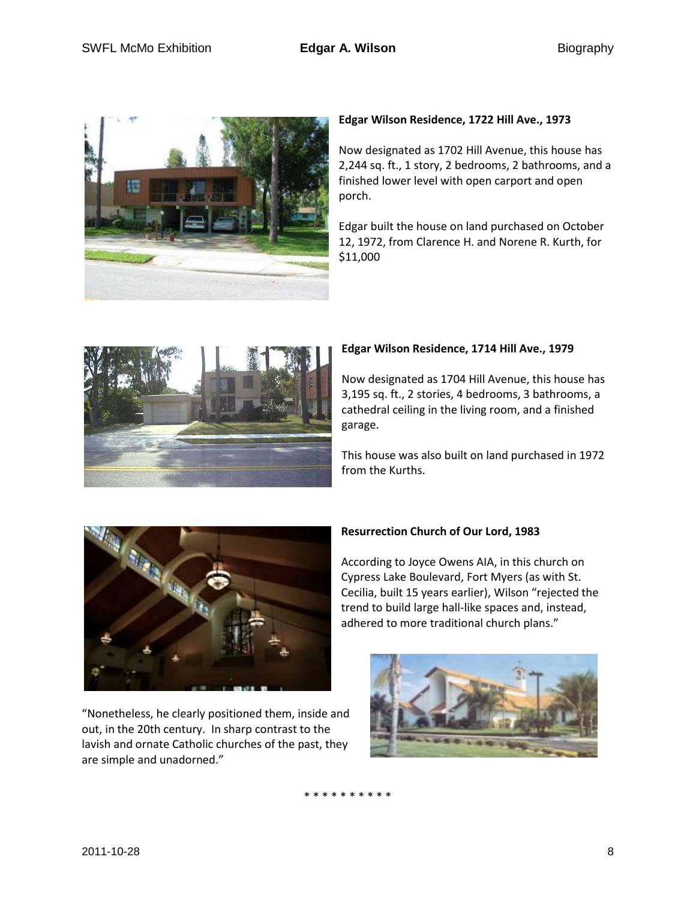

## **Edgar Wilson Residence, 1722 Hill Ave., 1973**

Now designated as 1702 Hill Avenue, this house has 2,244 sq. ft., 1 story, 2 bedrooms, 2 bathrooms, and a finished lower level with open carport and open porch.

Edgar built the house on land purchased on October 12, 1972, from Clarence H. and Norene R. Kurth, for \$11,000



#### **Edgar Wilson Residence, 1714 Hill Ave., 1979**

Now designated as 1704 Hill Avenue, this house has 3,195 sq. ft., 2 stories, 4 bedrooms, 3 bathrooms, a cathedral ceiling in the living room, and a finished garage.

This house was also built on land purchased in 1972 from the Kurths.



## "Nonetheless, he clearly positioned them, inside and out, in the 20th century. In sharp contrast to the lavish and ornate Catholic churches of the past, they are simple and unadorned."

## **Resurrection Church of Our Lord, 1983**

According to Joyce Owens AIA, in this church on Cypress Lake Boulevard, Fort Myers (as with St. Cecilia, built 15 years earlier), Wilson "rejected the trend to build large hall-like spaces and, instead, adhered to more traditional church plans."